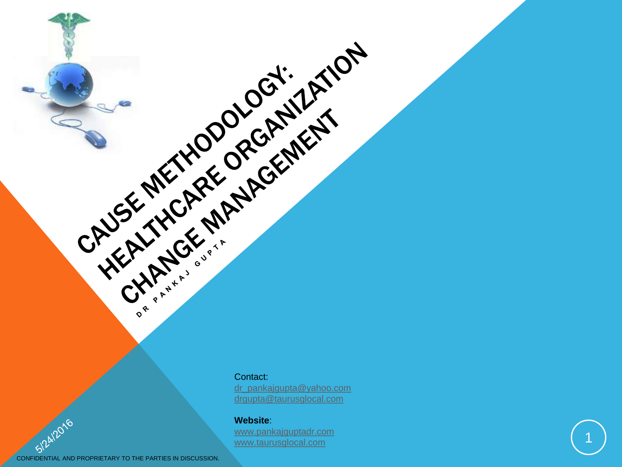Contact:

CALIFORNIA REGISTRATION

[dr\\_pankajgupta@yahoo.com](mailto:drgupta.tgi@gmail.com) [drgupta@](mailto:drgupta.tgi@gmail.com)[taurusglocal](mailto:sales@taurusglocal.com)[.com](mailto:drgupta.tgi@gmail.com)

#### **Website** :

[www.pankajguptadr.com](http://www.pankajguptadr.com/) [www.taurusglocal.com](http://www.taurusglocal.com/)

1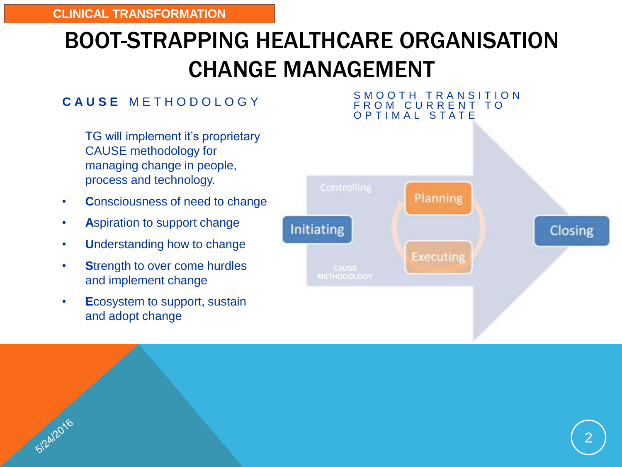# BOOT-STRAPPING HEALTHCARE ORGANISATION CHANGE MANAGEMENT

#### **C A U S E** M E T H O D O L O G Y

TG will implement it's proprietary CAUSE methodology for managing change in people, process and technology.

- **C**onsciousness of need to change
- **A**spiration to support change
- **U**nderstanding how to change
- **S**trength to over come hurdles and implement change
- **E**cosystem to support, sustain and adopt change

SIZAIZOTO

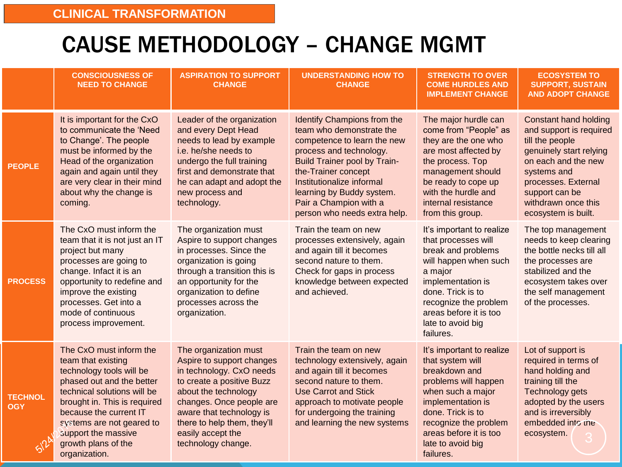## CAUSE METHODOLOGY – CHANGE MGMT

|                              | <b>CONSCIOUSNESS OF</b><br><b>NEED TO CHANGE</b>                                                                                                                                                                                                                                            | <b>ASPIRATION TO SUPPORT</b><br><b>CHANGE</b>                                                                                                                                                                                                                         | <b>UNDERSTANDING HOW TO</b><br><b>CHANGE</b>                                                                                                                                                                                                                                                        | <b>STRENGTH TO OVER</b><br><b>COME HURDLES AND</b><br><b>IMPLEMENT CHANGE</b>                                                                                                                                                              | <b>ECOSYSTEM TO</b><br><b>SUPPORT, SUSTAIN</b><br><b>AND ADOPT CHANGE</b>                                                                                                                                                          |
|------------------------------|---------------------------------------------------------------------------------------------------------------------------------------------------------------------------------------------------------------------------------------------------------------------------------------------|-----------------------------------------------------------------------------------------------------------------------------------------------------------------------------------------------------------------------------------------------------------------------|-----------------------------------------------------------------------------------------------------------------------------------------------------------------------------------------------------------------------------------------------------------------------------------------------------|--------------------------------------------------------------------------------------------------------------------------------------------------------------------------------------------------------------------------------------------|------------------------------------------------------------------------------------------------------------------------------------------------------------------------------------------------------------------------------------|
| <b>PEOPLE</b>                | It is important for the CxO<br>to communicate the 'Need<br>to Change'. The people<br>must be informed by the<br>Head of the organization<br>again and again until they<br>are very clear in their mind<br>about why the change is<br>coming.                                                | Leader of the organization<br>and every Dept Head<br>needs to lead by example<br>i.e. he/she needs to<br>undergo the full training<br>first and demonstrate that<br>he can adapt and adopt the<br>new process and<br>technology.                                      | Identify Champions from the<br>team who demonstrate the<br>competence to learn the new<br>process and technology.<br><b>Build Trainer pool by Train-</b><br>the-Trainer concept<br>Institutionalize informal<br>learning by Buddy system.<br>Pair a Champion with a<br>person who needs extra help. | The major hurdle can<br>come from "People" as<br>they are the one who<br>are most affected by<br>the process. Top<br>management should<br>be ready to cope up<br>with the hurdle and<br>internal resistance<br>from this group.            | <b>Constant hand holding</b><br>and support is required<br>till the people<br>genuinely start relying<br>on each and the new<br>systems and<br>processes. External<br>support can be<br>withdrawn once this<br>ecosystem is built. |
| <b>PROCESS</b>               | The CxO must inform the<br>team that it is not just an IT<br>project but many<br>processes are going to<br>change. Infact it is an<br>opportunity to redefine and<br>improve the existing<br>processes. Get into a<br>mode of continuous<br>process improvement.                            | The organization must<br>Aspire to support changes<br>in processes. Since the<br>organization is going<br>through a transition this is<br>an opportunity for the<br>organization to define<br>processes across the<br>organization.                                   | Train the team on new<br>processes extensively, again<br>and again till it becomes<br>second nature to them.<br>Check for gaps in process<br>knowledge between expected<br>and achieved.                                                                                                            | It's important to realize<br>that processes will<br>break and problems<br>will happen when such<br>a major<br>implementation is<br>done. Trick is to<br>recognize the problem<br>areas before it is too<br>late to avoid big<br>failures.  | The top management<br>needs to keep clearing<br>the bottle necks till all<br>the processes are<br>stabilized and the<br>ecosystem takes over<br>the self management<br>of the processes.                                           |
| <b>TECHNOL</b><br><b>OGY</b> | The CxO must inform the<br>team that existing<br>technology tools will be<br>phased out and the better<br>technical solutions will be<br>brought in. This is required<br>because the current IT<br>systems are not geared to<br>support the massive<br>growth plans of the<br>organization. | The organization must<br>Aspire to support changes<br>in technology. CxO needs<br>to create a positive Buzz<br>about the technology<br>changes. Once people are<br>aware that technology is<br>there to help them, they'll<br>easily accept the<br>technology change. | Train the team on new<br>technology extensively, again<br>and again till it becomes<br>second nature to them.<br><b>Use Carrot and Stick</b><br>approach to motivate people<br>for undergoing the training<br>and learning the new systems                                                          | It's important to realize<br>that system will<br>breakdown and<br>problems will happen<br>when such a major<br>implementation is<br>done. Trick is to<br>recognize the problem<br>areas before it is too<br>late to avoid big<br>failures. | Lot of support is<br>required in terms of<br>hand holding and<br>training till the<br>Technology gets<br>adopted by the users<br>and is irreversibly<br>embedded into the<br>ecosystem.                                            |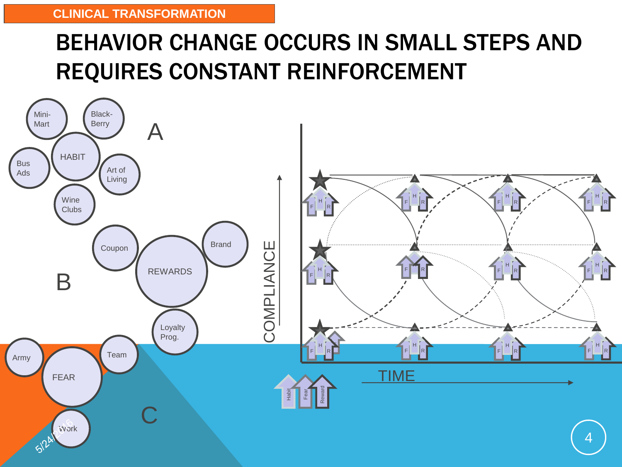# BEHAVIOR CHANGE OCCURS IN SMALL STEPS AND REQUIRES CONSTANT REINFORCEMENT